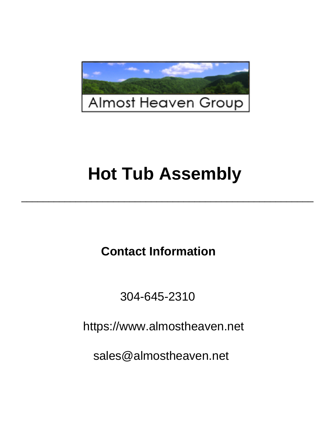

# **Hot Tub Assembly**

\_\_\_\_\_\_\_\_\_\_\_\_\_\_\_\_\_\_\_\_\_\_\_\_\_\_\_\_\_\_\_\_\_\_\_\_\_\_\_\_\_\_\_\_\_\_\_\_\_\_\_\_\_\_

**Contact Information**

304-645-2310

 $\mu$ https://www.almostheaven.net

ww.room<br>components.com sales@almostheaven.net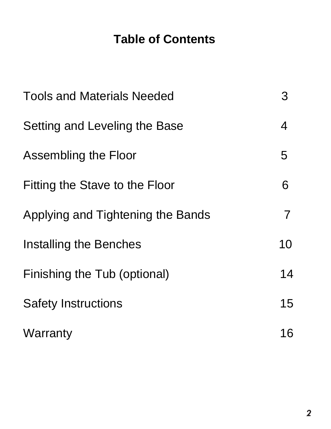## **Table of Contents**

| <b>Tools and Materials Needed</b> | 3              |
|-----------------------------------|----------------|
| Setting and Leveling the Base     | 4              |
| Assembling the Floor              | 5              |
| Fitting the Stave to the Floor    | 6              |
| Applying and Tightening the Bands | $\overline{7}$ |
| <b>Installing the Benches</b>     | 10             |
| Finishing the Tub (optional)      | 14             |
| <b>Safety Instructions</b>        | 15             |
| Warranty                          | 16             |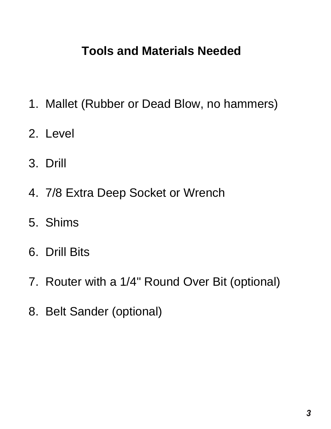#### **1.**Mallet (Rubber or Dead Blow, No hammers) **Tools and Materials Needed**

- 1. Mallet (Rubber or Dead Blow, no hammers)
- 2. Level
- **4.**7/8 Extra deep socket or wrench 3. Drill
- $\overline{1}$ 4. 7/8 Extra Deep Socket or Wrench
- 5. Shims
- **7.** *Round over a 1/4 round of 1/4 round of 1/4 round 0.**Round of 1/4 round 1/4 round 1/4 round 1/4 round 1/4 round 1/4 round 1/4 round 1/4 round 1/4 round 1/4 round 1/4 round 1/4 round 1/4 round 1/4 round 1/4 round 1/*
- 7. Router with a 1/4" Round Over Bit (optional)
	- 8. Belt Sander (optional)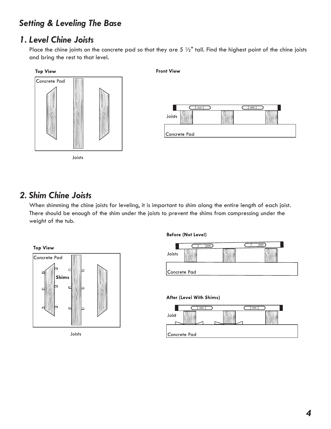### *Setting & Leveling The Base*

#### *1. Level Chine Joists*

Place the chine joints on the concrete pad so that they are  $5\frac{1}{2}$ " tall. Find the highest point of the chine joists and bring the rest to that level.



#### *2. Shim Chine Joists*

When shimming the chine joists for leveling, it is important to shim along the entire length of each joist. There should be enough of the shim under the joists to prevent the shims from compressing under the weight of the tub.



Joists

#### **Before (Not Level)**



#### After (Level With Shims)

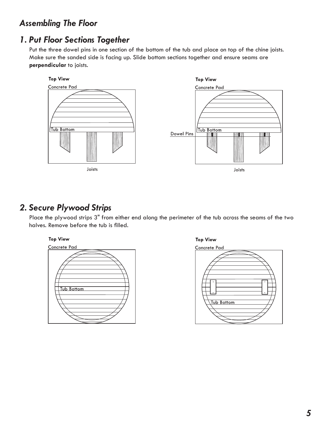#### *Assembling The Floor*

### *1. Put Floor Sections Together*

Put the three dowel pins in one section of the bottom of the tub and place on top of the chine joists. Make sure the sanded side is facing up. Slide bottom sections together and ensure seams are **perpendicular** to joists.



#### *2. Secure Plywood Strips*

Place the plywood strips 3" from either end along the perimeter of the tub across the seams of the two halves. Remove before the tub is filled.





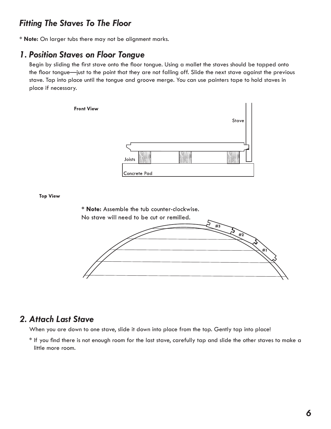#### *Fitting The Staves To The Floor*

**\* Note:** On larger tubs there may not be alignment marks.

#### *1. Position Staves on Floor Tongue*

Begin by sliding the first stave onto the floor tongue. Using a mallet the staves should be tapped onto the floor tongue—just to the point that they are not falling off. Slide the next stave against the previous stave. Tap into place until the tongue and groove merge. You can use painters tape to hold staves in place if necessary.

**Front View** 



**Top View** 



#### *2. Attach Last Stave*

When you are down to one stave, slide it down into place from the top. Gently tap into place!

\* If you find there is not enough room for the last stave, carefully tap and slide the other staves to make a little more room.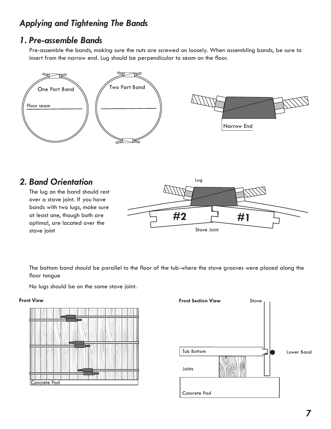### *Applying and Tightening The Bands*

#### *1. Pre-assemble Bands*

Pre-assemble the bands, making sure the nuts are screwed on loosely. When assembling bands, be sure to insert from the narrow end. Lug should be perpendicular to seam on the floor.



#### *2. Band Orientation*

The lug on the band should rest over a stave joint. If you have bands with two lugs, make sure at least one, though both are optimal, are located over the stave joint



The bottom band should be parallel to the floor of the tub-where the stave grooves were placed along the floor tongue

No lugs should be on the same stave joint.

#### **Front View**



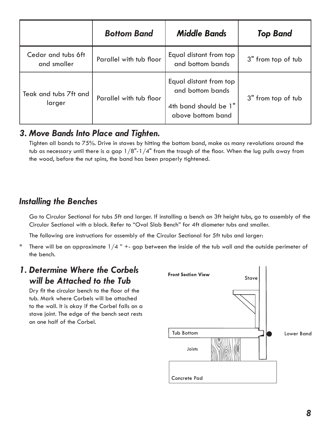|                                   | <b>Bottom Band</b>      | <b>Middle Bands</b>                                                                      | <b>Top Band</b>    |
|-----------------------------------|-------------------------|------------------------------------------------------------------------------------------|--------------------|
| Cedar and tubs 6ft<br>and smaller | Parallel with tub floor | Equal distant from top<br>and bottom bands                                               | 3" from top of tub |
| Teak and tubs 7ft and<br>larger   | Parallel with tub floor | Equal distant from top<br>and bottom bands<br>4th band should be 1"<br>above bottom band | 3" from top of tub |

#### *3. Move Bands Into Place and Tighten.*

Tighten all bands to 75%. Drive in staves by hitting the bottom band, make as many revolutions around the tub as necessary until there is a gap  $1/8"$ - $1/4"$  from the trough of the floor. When the lug pulls away from the wood, before the nut spins, the band has been properly tightened.

### *Installing the Benches*

Go to Circular Sectional for tubs 5ft and larger. If installing a bench on 3ft height tubs, go to assembly of the Circular Sectional with a block. Refer to "Oval Slab Bench" for 4ft diameter tubs and smaller.

The following are instructions for assembly of the Circular Sectional for 5ft tubs and larger:

\* There will be an approximate  $1/4$  " +- gap between the inside of the tub wall and the outside perimeter of the bench.

#### *1. Determine Where the Corbels will be Attached to the Tub*

Dry fit the circular bench to the floor of the tub. Mark where Corbels will be attached to the wall. It is okay if the Corbel falls on a stave joint. The edge of the bench seat rests on one half of the Corbel.

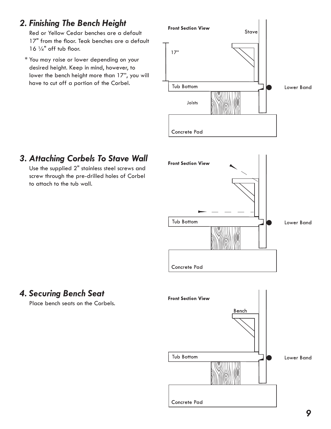### *2. Finishing The Bench Height*

Red or Yellow Cedar benches are a default 17" from the floor. Teak benches are a default  $16$   $\frac{1}{4}$ " off tub floor.

 \* You may raise or lower depending on your desired height. Keep in mind, however, to lower the bench height more than 17", you will have to cut off a portion of the Corbel.



### *3. Attaching Corbels To Stave Wall*

Use the supplied 2" stainless steel screws and screw through the pre-drilled holes of Corbel to attach to the tub wall.



### *4. Securing Bench Seat*

Place bench seats on the Corbels.

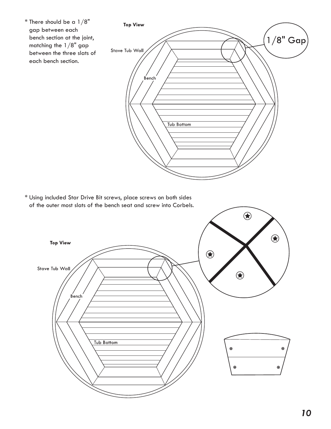

 \* Using included Star Drive Bit screws, place screws on both sides of the outer most slats of the bench seat and screw into Corbels.

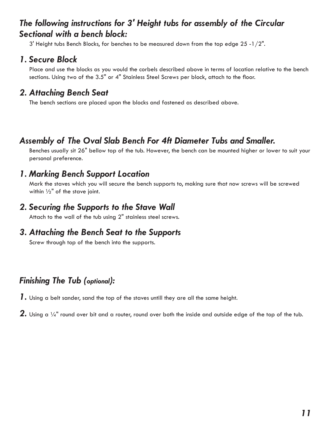#### *The following instructions for 3' Height tubs for assembly of the Circular Sectional with a bench block:*

 $3'$  Height tubs Bench Blocks, for benches to be measured down from the top edge 25 -1/2".

#### *1. Secure Block*

Place and use the blocks as you would the corbels described above in terms of location relative to the bench sections. Using two of the 3.5" or 4" Stainless Steel Screws per block, attach to the floor.

#### *2. Attaching Bench Seat*

The bench sections are placed upon the blocks and fastened as described above.

### *Assembly of The Oval Slab Bench For 4ft Diameter Tubs and Smaller.*

Benches usually sit 26" bellow top of the tub. However, the bench can be mounted higher or lower to suit your personal preference.

#### *1. Marking Bench Support Location*

Mark the staves which you will secure the bench supports to, making sure that now screws will be screwed within  $\frac{1}{2}$ " of the stave joint.

#### *2. Securing the Supports to the Stave Wall*

Attach to the wall of the tub using 2" stainless steel screws.

#### *3. Attaching the Bench Seat to the Supports*

Screw through top of the bench into the supports.

### *Finishing The Tub (optional):*

- *1.* Using a belt sander, sand the top of the staves untill they are all the same height.
- **2.** Using a 1/4" round over bit and a router, round over both the inside and outside edge of the top of the tub.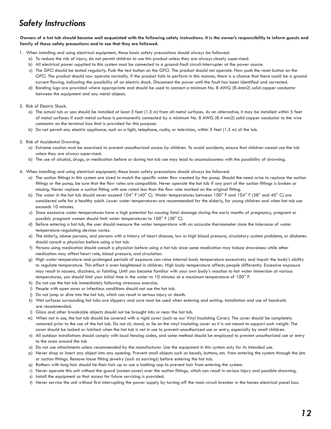### *Safety Instructions*

#### **Owners of a hot tub should become well acquainted with the following safety instructions. It is the owner's responsibility to inform guests and family of these safety precautions and to see that they are followed.**

- 1. When installing and using electrical equipment, these basic safety precautions should always be followed:
	- a) To reduce the risk of injury, do not permit children to use this product unless they are always closely supervised.
	- b) All electrical power supplied to this system must be connected to a ground-fault circuit-interrupter at the power source.
	- c) The GFCI should be tested regularly. Push the test button on the GFCI. The product should not operate. Now push the reset button on the GFCI. The product should now operate normally. If the product fails to perform in this manner, there is a chance that there could be a ground current flowing, indicating the possibility of an electric shock. Disconnect the power until the fault has been identified and corrected.
	- d) Bonding lugs are provided where appropriate and should be used to connect a minimum No. 8 AWG (8.4mm2) solid copper conductor between the equipment and any metal objects.

#### 2. Risk of Electric Shock.

- a) The actual tub or spa should be installed at least 5 feet (1.5 m) from all metal surfaces. As an alternative, it may be installed within 5 feet of metal surfaces if each metal surface is permanently connected by a minimum No. 8 AWG (8.4 mm2) solid copper conductor to the wire connector on the terminal box that is provided for this purpose.
- b) Do not permit any electric appliance, such as a light, telephone, radio, or television, within 5 feet (1.5 m) of the tub.

#### 3. Risk of Accidental Drowning.

- a) Extreme caution must be exercised to prevent unauthorized access by children. To avoid accidents, ensure that children cannot use the tub unless they are always supervised.
- b) The use of alcohol, drugs, or medication before or during hot tub use may lead to unconsciousness with the possibility of drowning.
- 4. When installing and using electrical equipment, these basic safety precautions should always be followed:
	- a) The suction fittings in this system are sized to match the specific water flow created by the pump. Should the need arise to replace the suction fittings or the pump, be sure that the flow rates are compatible. Never operate the hot tub if any part of the suction fittings is broken or missing. Never replace a suction fitting with one rated less than the flow rate marked on the original fitting.
	- b) The water in the hot tub should never exceed 104° F (40° C). Water temperatures between 100° F and 104° F (38° and 40° C) are considered safe for a healthy adult. Lower water temperatures are recommended for the elderly, for young children and when hot tub use exceeds 10 minutes.
	- c) Since excessive water temperatures have a high potential for causing fetal damage during the early months of pregnancy, pregnant or possibly pregnant women should limit water temperatures to 100° F (38° C).
	- d) Before entering a hot tub, the user should measure the water temperature with an accurate thermometer since the tolerance of water temperature-regulating devices varies.
	- e) The elderly, obese persons, and persons with a history of heart disease, low or high blood pressure, circulatory system problems, or diabetes should consult a physician before using a hot tub.
	- f) Persons using medication should consult a physician before using a hot tub since some medication may induce drowsiness while other medication may affect heart rate, blood pressure, and circulation.
	- g) High water temperature and prolonged periods of exposure can raise internal body temperature excessively and impair the body's ability to regulate temperature. This effect is even heightened in children. High body temperature affects people differently. Excessive exposure may result in nausea, dizziness, or fainting. Until you become familiar with your own body's reaction to hot water immersion at various temperatures, you should limit your initial time in the water to 10 minutes at a maximum temperature of 100 $^\circ$  F.
	- h) Do not use the hot tub immediately following strenuous exercise.
	- i) People with open sores or infectious conditions should not use the hot tub.
	- j) Do not jump or dive into the hot tub, which can result in serious injury or death.
	- k) Wet surfaces surrounding hot tubs are slippery and care must be used when entering and exiting. Installation and use of handrails are recommended.
	- l) Glass and other breakable objects should not be brought into or near the hot tub.
	- m) When not in use, the hot tub should be covered with a rigid cover (such as our Vinyl Insulating Cover). The cover should be completely removed prior to the use of the hot tub. Do not sit, stand, or lie on the vinyl insulating cover as it is not meant to support such weight. The cover should be locked or latched when the hot tub is not in use to prevent unauthorized use or entry, especially by small children.
	- n) All outdoor installations should comply with local fencing codes, and some method should be employed to prevent unauthorized use or entry to the area around the tub
	- o) Do not use attachments unless recommended by the manufacturer. Use the equipment in this system only for its intended use.
	- p) Never drop or insert any object into any opening. Prevent small objects such as beads, buttons, etc. from entering the system through the jets or suction fittings. Remove loose fitting jewelry (such as earrings) before entering the hot tub.
	- q) Bathers with long hair should tie their hair up or use a bathing cap to prevent hair from entering the system.
	- r) Never operate this unit without the guard (screen cover) over the suction fittings, which can result in serious injury and possible drowning.
	- s) Install the equipment so that access for future servicing is provided.
	- t) Never service the unit without first interrupting the power supply by turning off the main circuit breaker in the homes electrical panel box.